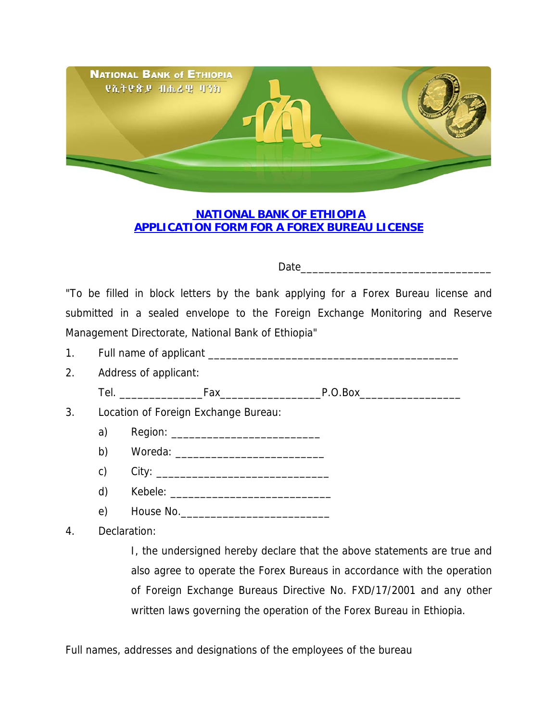

## **NATIONAL BANK OF ETHIOPIA APPLICATION FORM FOR A FOREX BUREAU LICENSE**

## Date\_\_\_\_\_\_\_\_\_\_\_\_\_\_\_\_\_\_\_\_\_\_\_\_\_\_\_\_\_\_\_\_

"To be filled in block letters by the bank applying for a Forex Bureau license and submitted in a sealed envelope to the Foreign Exchange Monitoring and Reserve Management Directorate, National Bank of Ethiopia"

- 1. Full name of applicant \_\_\_\_\_\_\_\_\_\_\_\_\_\_\_\_\_\_\_\_\_\_\_\_\_\_\_\_\_\_\_\_\_\_\_\_\_\_\_\_\_\_
- 2. Address of applicant: Tel. \_\_\_\_\_\_\_\_\_\_\_\_\_\_Fax\_\_\_\_\_\_\_\_\_\_\_\_\_\_\_\_\_P.O.Box\_\_\_\_\_\_\_\_\_\_\_\_\_\_\_\_\_
- 3. Location of Foreign Exchange Bureau:
	- a) Region: \_\_\_\_\_\_\_\_\_\_\_\_\_\_\_\_\_\_\_\_\_\_\_\_\_
	- b) Woreda: \_\_\_\_\_\_\_\_\_\_\_\_\_\_\_\_\_\_\_\_\_\_\_\_\_
	- c) City: \_\_\_\_\_\_\_\_\_\_\_\_\_\_\_\_\_\_\_\_\_\_\_\_\_\_\_\_\_
	- d) Kebele: \_\_\_\_\_\_\_\_\_\_\_\_\_\_\_\_\_\_\_\_\_\_\_\_\_\_\_
	- e) House No.\_\_\_\_\_\_\_\_\_\_\_\_\_\_\_\_\_\_\_\_\_\_\_\_\_

4. Declaration:

 I, the undersigned hereby declare that the above statements are true and also agree to operate the Forex Bureaus in accordance with the operation of Foreign Exchange Bureaus Directive No. FXD/17/2001 and any other written laws governing the operation of the Forex Bureau in Ethiopia.

Full names, addresses and designations of the employees of the bureau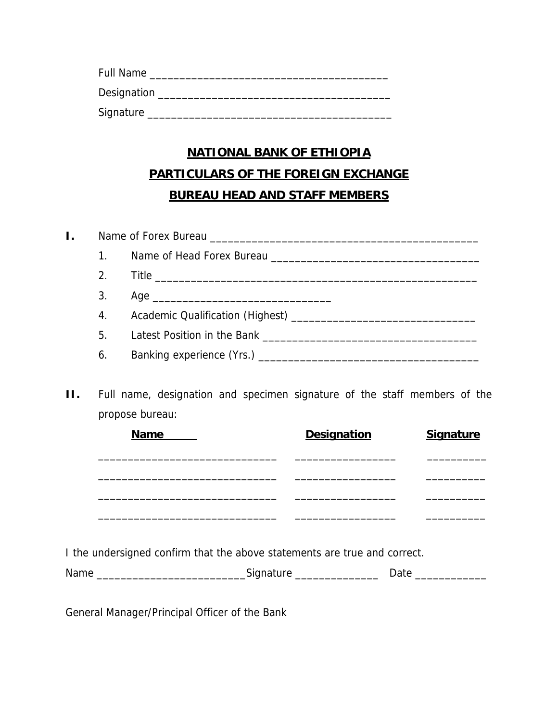| <b>Full Name</b> |  |
|------------------|--|
| Designation      |  |
| Signature        |  |

## **NATIONAL BANK OF ETHIOPIA PARTICULARS OF THE FOREIGN EXCHANGE BUREAU HEAD AND STAFF MEMBERS**

| 2. |  |
|----|--|
| 3. |  |
|    |  |
| 5. |  |
|    |  |

**II.** Full name, designation and specimen signature of the staff members of the propose bureau:

| <b>Name</b> | <b>Designation</b> | <b>Signature</b> |
|-------------|--------------------|------------------|
|             |                    |                  |
|             |                    |                  |
|             |                    |                  |
|             |                    |                  |

I the undersigned confirm that the above statements are true and correct.

Name \_\_\_\_\_\_\_\_\_\_\_\_\_\_\_\_\_\_\_\_\_\_\_\_\_Signature \_\_\_\_\_\_\_\_\_\_\_\_\_\_ Date \_\_\_\_\_\_\_\_\_\_\_\_

General Manager/Principal Officer of the Bank